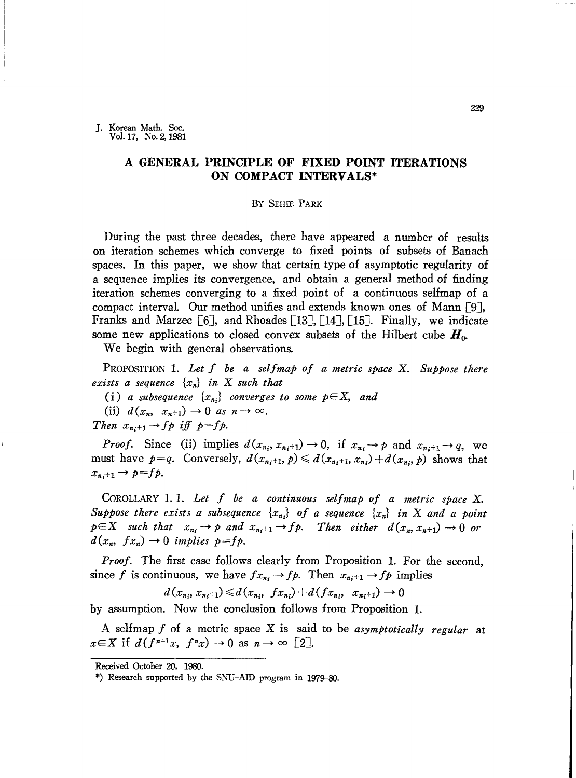J. Korean Math. Soc. Vol. 17, No. 2, 1981

# **A GENERAL PRINCIPLE OF FIXED POINT ITERATIONS ON COMPACT INTERVALS\***

### By SEHIE PARK

During the past three decades, there have appeared a number of results on iteration schemes which converge to fixed points of subsets of Banach spaces. In this paper, we show that certain type of asymptotic regularity of a sequence implies its convergence, and obtain a general method of finding iteration schemes converging to a fixed point of a continuous selfmap of a compact interval. Our method unifies and extends known ones of Mann [9J, Franks and Marzec  $\lceil 6 \rceil$ , and Rhoades  $\lceil 13 \rceil$ ,  $\lceil 14 \rceil$ ,  $\lceil 15 \rceil$ . Finally, we indicate some new applications to closed convex subsets of the Hilbert cube *Ho.*

We begin with general observations.

PROPOSITION 1. *Let f be a selfmap of a metric space* X. *Suppose there exists* a *sequence*  $\{x_n\}$  *in* X *such that* 

(i) *a subsequence*  $\{x_{n_i}\}$  *converges to some*  $p \in X$ , *and* 

(ii)  $d(x_n, x_{n+1}) \rightarrow 0$  *as*  $n \rightarrow \infty$ .

*Then*  $x_{n_i+1} \rightarrow fp$  *iff*  $p=fp$ .

*Proof.* Since (ii) implies  $d(x_{n_i}, x_{n_i+1}) \rightarrow 0$ , if  $x_{n_i} \rightarrow p$  and  $x_{n_i+1} \rightarrow q$ , we must have  $p=q$ . Conversely,  $d(x_{n+1}, p) \leq d(x_{n+1}, x_{n}) + d(x_n, p)$  shows that  $x_{n+1} \rightarrow p = fp.$ 

COROLLARY 1. 1. *Let f be a continuous selfmap of a metric space* X. *Suppose there exists a subsequence*  $\{x_{n_i}\}$  *of a sequence*  $\{x_n\}$  *in X and a point*  $p \in X$  *such that*  $x_{n_i} \to p$  *and*  $x_{n_i+1} \to fp$ . Then *either*  $d(x_n, x_{n+1}) \to 0$  *or*  $d(x_n, fx_n) \rightarrow 0$  *implies*  $p = fp$ .

*Proof.* The first case follows clearly from Proposition 1. For the second, since *f* is continuous, we have  $fx_{n_i} \rightarrow fp$ . Then  $x_{n_i+1} \rightarrow fp$  implies

$$
d(x_{n_i}, x_{n_i+1}) \leq d(x_{n_i}, f(x_{n_i}) + d(f(x_{n_i}, x_{n_i+1}) \to 0
$$

by assumption. Now the conclusion follows from Proposition 1.

A selfmap *f* of a metric space X is said to be *asymptotically regular* at  $x \in X$  if  $d(f^{n+1}x, f^n x) \to 0$  as  $n \to \infty$  [2].

Received October 20, 1980.

<sup>\*)</sup> Research supported by the SNU-AID program in 1979-80.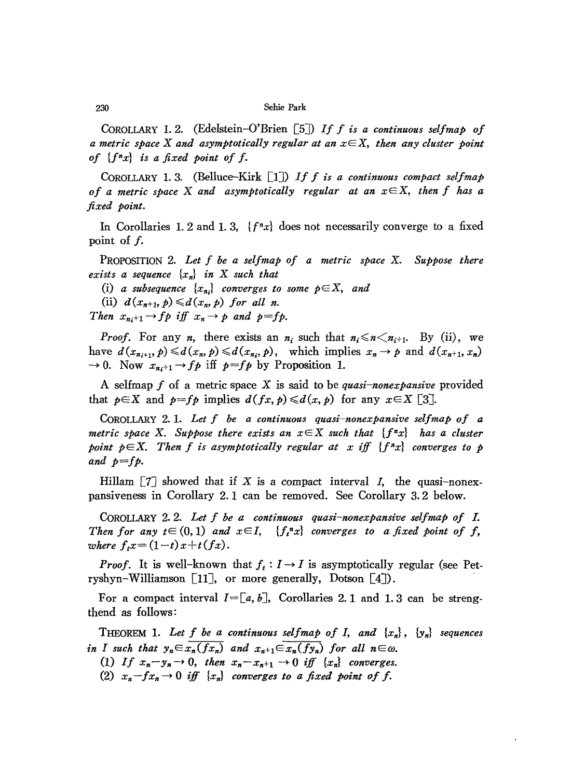## 230 Sehie Park

CoROLLARY 1.2. (EdeIstein-O'Brien [5J) *If <sup>f</sup> is <sup>a</sup> continuous selfmap of a metric space* X *and asymptotically regular at an xEX, then any cluster point of {fnx} is a fixed point of f.*

CoROLLARY 1. 3. (Belluce-Kirk [IJ) *If <sup>f</sup> is <sup>a</sup> continuous compact selfmap of a metric space* X *and asymptotically regular at an xEX, then f has a fixed point.*

In Corollaries 1. 2 and 1. 3,  ${f^x x}$  does not necessarily converge to a fixed point of f.

PROPOSITION 2. *Let f be a selfmap of a metric space* X. *Suppose there exists* a *sequence*  $\{x_n\}$  *in* X *such that* 

(i) *a* subsequence  $\{x_{n_i}\}\$  converges to some  $p \in X$ , and

(ii)  $d(x_{n+1}, p) \leq d(x_n, p)$  *for all n.* 

*Then*  $x_{n_i+1} \rightarrow fp$  *iff*  $x_n \rightarrow p$  *and*  $p=fp$ .

*Proof.* For any *n*, there exists an  $n_i$  such that  $n_i \le n \le n_{i+1}$ . By (ii), we have  $d(x_{n_{i+1}}, p) \le d(x_n, p) \le d(x_n, p)$ , which implies  $x_n \to p$  and  $d(x_{n+1}, x_n)$  $\rightarrow$  0. Now  $x_{n+1}$   $\rightarrow$  *fp* iff *p*=*fp* by Proposition 1.

A selfmap *f* of a metric space X is said to be *quasi-nonexpansive* provided that  $p \in X$  and  $p = fp$  implies  $d(fx, p) \leq d(x, p)$  for any  $x \in X$  [3].

CoROLLARY 2. 1. *Let f be a continuous quasi-nonexpansive selfmap of a metric space* X. Suppose there exists an  $x \in X$  such that  $\{f^n x\}$  has a cluster *point*  $p \in X$ . Then *f* is asymptotically regular at x iff  $\{f^n x\}$  converges to p and  $p = fp$ .

Hillam  $\boxed{7}$  showed that if X is a compact interval *I*, the quasi-nonexpansiveness in Corollary 2. 1 can be removed. See Corollary 3. 2 below.

COROLLARY 2. 2. *Let f be a continuous quasi-nonexpansive selfmap of L Then* for any  $t \in (0,1)$  and  $x \in I$ ,  $\{f_t^n x\}$  converges to a fixed point of f,  $where f_t x = (1-t)x+t(fx).$ 

*Proof.* It is well-known that  $f_t: I \rightarrow I$  is asymptotically regular (see Petryshyn-Williamson  $\lceil 11 \rceil$ , or more generally, Dotson  $\lceil 4 \rceil$ ).

For a compact interval  $I=[a, b]$ , Corollaries 2.1 and 1.3 can be strengthend as follows:

**THEOREM 1.** Let f be a continuous selfmap of I, and  $\{x_n\}$ ,  $\{y_n\}$  sequences *in I* such that  $y_n \in \overline{x_n(fx_n)}$  and  $x_{n+1} \in \overline{x_n(fy_n)}$  for all  $n \in \omega$ .

(1) If  $x_n - y_n \to 0$ , then  $x_n - x_{n+1} \to 0$  iff  $\{x_n\}$  converges.

(2)  $x_n - fx_n \to 0$  *iff*  $\{x_n\}$  *converges to a fixed point of f.*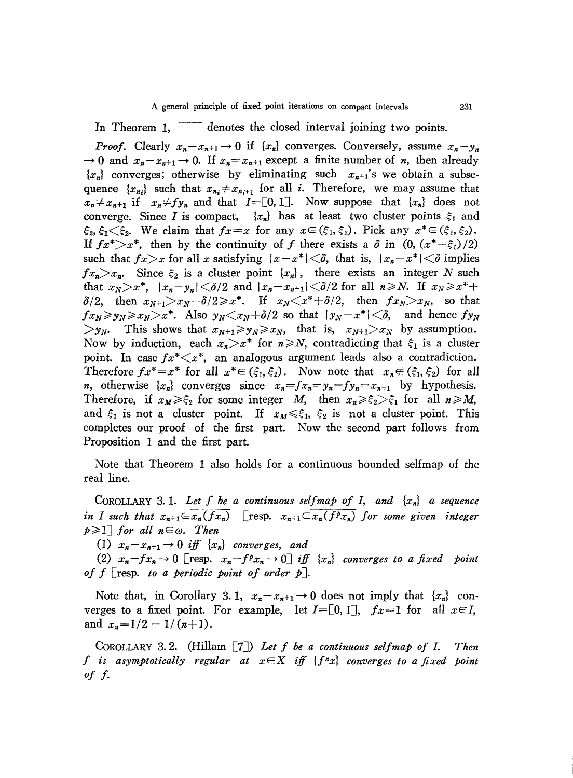In Theorem 1, denotes the closed interval joining two points.

*Proof.* Clearly  $x_n - x_{n+1} \to 0$  if  $\{x_n\}$  converges. Conversely, assume  $x_n - y_n$  $\rightarrow$  0 and  $x_n - x_{n+1} \rightarrow 0$ . If  $x_n = x_{n+1}$  except a finite number of *n*, then already  $\{x_n\}$  converges; otherwise by eliminating such  $x_{n+1}$ 's we obtain a subsequence  $\{x_{n_i}\}\$  such that  $x_{n_i} \neq x_{n_{i+1}}$  for all *i*. Therefore, we may assume that  $x_n \neq x_{n+1}$  if  $x_n \neq f y_n$  and that  $I = [0, 1]$ . Now suppose that  $\{x_n\}$  does not converge. Since I is compact,  $\{x_n\}$  has at least two cluster points  $\xi_1$  and  $\xi_2, \xi_1 \leq \xi_2$ . We claim that  $fx=x$  for any  $x \in (\xi_1, \xi_2)$ . Pick any  $x^* \in (\xi_1, \xi_2)$ . If  $fx^* > x^*$ , then by the continuity of f there exists a  $\delta$  in  $(0, (x^*-\xi_1)/2)$ such that  $f_x > x$  for all x satisfying  $|x-x^*| < \delta$ , that is,  $|x_n-x^*| < \delta$  implies  $f_{x_n} > x_n$ . Since  $\xi_2$  is a cluster point  $\{x_n\}$ , there exists an integer N such that  $x_N > x^*$ ,  $|x_n - y_n| < \delta/2$  and  $|x_n - x_{n+1}| < \delta/2$  for all  $n \ge N$ . If  $x_N \ge x^*$ +  $\delta/2$ , then  $x_{N+1} > x_N - \delta/2 \geq x^*$ . If  $x_N < x^* + \delta/2$ , then  $f_{x_N} > x_N$ , so that  $f_{x_N} \geqslant y_N \geqslant x_N \geqslant x^*$ . Also  $y_N \leqslant x_N + \delta/2$  so that  $|y_N - x^*| \leqslant \delta$ , and hence  $f_{y_N}$  $> y_N$ . This shows that  $x_{N+1} \ge y_N \ge x_N$ , that is,  $x_{N+1} > x_N$  by assumption. Now by induction, each  $x_n > x^*$  for  $n \ge N$ , contradicting that  $\xi_1$  is a cluster point. In case  $fx^* \leq x^*$ , an analogous argument leads also a contradiction. Therefore  $fx^* = x^*$  for all  $x^* \in (\xi_1, \xi_2)$ . Now note that  $x_n \notin (\xi_1, \xi_2)$  for all *n*, otherwise  $\{x_n\}$  converges since  $x_n = fx_n = y_n = fy_n = x_{n+1}$  by hypothesis. Therefore, if  $x_M \ge \xi_2$  for some integer M, then  $x_n \ge \xi_2 > \xi_1$  for all  $n \ge M$ , and  $\xi_1$  is not a cluster point. If  $x_M \le \xi_1$ ,  $\xi_2$  is not a cluster point. This completes our proof of the first part. Now the second part follows from Proposition 1 and the first part.

Note that Theorem 1 also holds for a continuous bounded selfmap of the real line.

COROLLARY 3.1. Let f be a continuous selfmap of I, and  $\{x_n\}$  a sequence [resp.  $x_{n+1} \in \overline{x_n(f^px_n)}$  for some given integer in I such that  $x_{n+1} \in \overline{x_n(fx_n)}$  $p \geq 1$  for all  $n \in \omega$ . Then

(1)  $x_n - x_{n+1} \rightarrow 0$  iff  $\{x_n\}$  converges, and

(2)  $x_n - fx_n \to 0$  [resp.  $x_n - f^p x_n \to 0$ ] iff  $\{x_n\}$  converges to a fixed point of f  $\lceil$  resp. to a periodic point of order p $\rceil$ .

Note that, in Corollary 3.1,  $x_n - x_{n+1} \rightarrow 0$  does not imply that  $\{x_n\}$  converges to a fixed point. For example, let  $I=[0,1]$ ,  $fx=1$  for all  $x\in I$ , and  $x_n=1/2-1/(n+1)$ .

COROLLARY 3.2. (Hillam  $[7]$ ) Let f be a continuous selfmap of I. Then f is asymptotically regular at  $x \in X$  iff  $\{f^nx\}$  converges to a fixed point of  $f$ .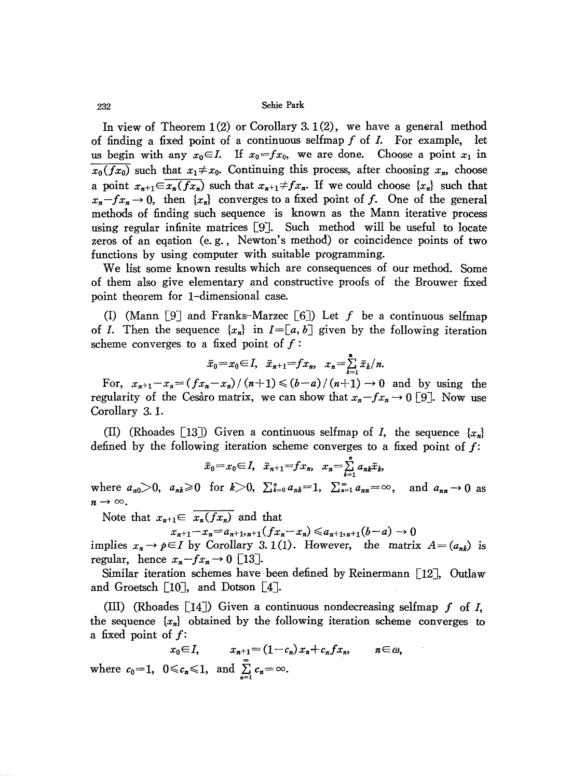### 232 Sehie Park

In view of Theorem 1(2) or Corollary 3.1(2), we have a general method of finding a fixed point of a continuous selfmap  $f$  of  $I$ . For example, let us begin with any  $x_0 \in I$ . If  $x_0 = fx_0$ , we are done. Choose a point  $x_1$  in  $\overline{x_0(fx_0)}$  such that  $x_1 \neq x_0$ . Continuing this process, after choosing  $x_n$ , choose a point  $x_{n+1} \in \overline{x_n(fx_n)}$  such that  $x_{n+1} \neq fx_n$ . If we could choose  $\{x_n\}$  such that  $x_n - fx_n \to 0$ , then  $\{x_n\}$  converges to a fixed point of *f*. One of the general methods of finding such sequence is known as the Mann iterative process using regular infinite matrices [9J. Such method will be useful to locate zeros of an eqation (e. g., Newton's method) or coincidence points of two functions by using computer with suitable programming.

We list some known results which are consequences of our method. Some of them also give elementary and constructive proofs of the Brouwer fixed point theorem for I-dimensional case.

(I) (Mann [9] and Franks-Marzec [6]) Let f be a continuous selfmap of *I*. Then the sequence  $\{x_n\}$  in  $I = [a, b]$  given by the following iteration scheme converges to a fixed point of  $f$ :

$$
\bar{x}_0 = x_0 \in I, \quad \bar{x}_{n+1} = fx_n, \quad x_n = \sum_{k=1}^n \bar{x}_k/n.
$$

For,  $x_{n+1}-x_n=(fx_n-x_n)/(n+1)\leq (b-a)/(n+1)\to 0$  and by using the regularity of the Cesaro matrix, we can show that  $x_n - fx_n \to 0$  [9]. Now use Corollary 3. l.

(II) (Rhoades [13]) Given a continuous selfmap of I, the sequence  $\{x_n\}$ defined by the following iteration scheme converges to a fixed point of *f:*

$$
\bar{x}_0 = x_0 \in I, \quad \bar{x}_{n+1} = fx_n, \quad x_n = \sum_{k=1}^n a_{nk} \bar{x}_k,
$$

where  $a_{n0} > 0$ ,  $a_{nk} \ge 0$  for  $k > 0$ ,  $\sum_{k=0}^{n} a_{nk} = 1$ ,  $\sum_{n=1}^{\infty} a_{nn} = \infty$ , and  $a_{nn} \to 0$  as  $n \rightarrow \infty$ .

Note that  $x_{n+1} \in \overline{x_n(fx_n)}$  and that

 $x_{n+1}-x_n=a_{n+1},_{n+1}(fx_n-x_n)\leq a_{n+1,n+1}(b-a) \to 0$ 

implies  $x_n \to p \in I$  by Corollary 3. 1(1). However, the matrix  $A = (a_{nk})$  is regular, hence  $x_n - fx_n \to 0$  [13].

Similar iteration schemes have been defined by Reinermann  $\lceil 12 \rceil$ , Outlaw and Groetsch  $[10]$ , and Dotson  $[4]$ .

(Ill) CRhoades [14J) Given a continuous nondecreasing selfmap f of *I,* the sequence  $\{x_n\}$  obtained by the following iteration scheme converges to a fixed point of *f:*

 $x_0 \in I$ ,  $x_{n+1} = (1 - c_n)x_n + c_n f x_n$ ,  $n \in \omega$ , where  $c_0=1$ ,  $0 \leq c_n \leq 1$ , and  $\sum_{n=1}^{\infty} c_n = \infty$ .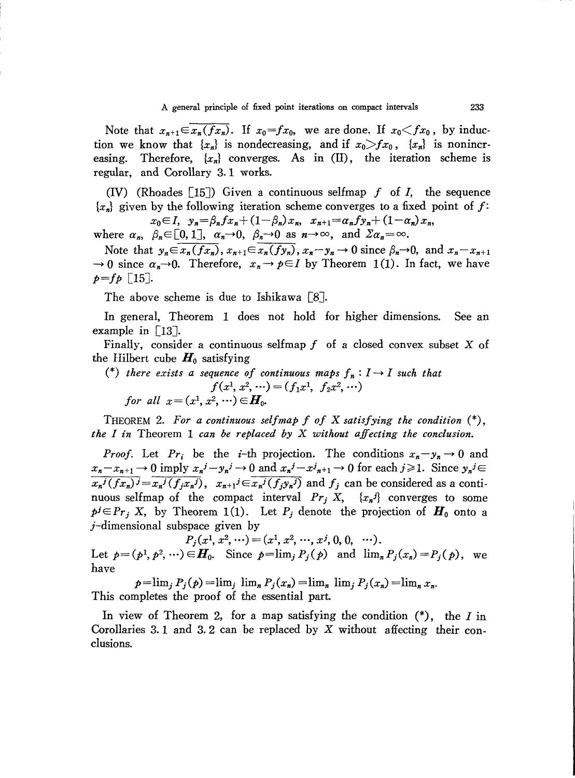Note that  $x_{n+1} \in x_n(fx_n)$ . If  $x_0 = fx_0$ , we are done. If  $x_0 \leq fx_0$ , by induction we know that  ${x_n}$  is nondecreasing, and if  $x_0 > fx_0$ ,  ${x_n}$  is nonincreasing. Therefore,  $\{x_n\}$  converges. As in  $(II)$ , the iteration scheme is regular, and Corollary 3. 1 works.

(IV) (Rhoades [15J) Given a continuous selfmap f of *I,* the sequence  ${x_n}$  given by the following iteration scheme converges to a fixed point of *f*:  $x_0 \in I$ ,  $y_n = \beta_n f x_n + (1 - \beta_n) x_n$ ,  $x_{n+1} = \alpha_n f y_n + (1 - \alpha_n) x_n$ 

where  $\alpha_n$ ,  $\beta_n \in [0,1]$ ,  $\alpha_n \to 0$ ,  $\beta_n \to 0$  as  $n \to \infty$ , and  $\sum \alpha_n = \infty$ .

Note that  $y_n \in \overline{x_n(f_{x_n})}$ ,  $x_{n+1} \in \overline{x_n(f_{x_n})}$ ,  $x_n - y_n \to 0$  since  $\beta_n \to 0$ , and  $x_n - x_{n+1}$  $\rightarrow 0$  since  $\alpha_n \rightarrow 0$ . Therefore,  $x_n \rightarrow p \in I$  by Theorem 1(1). In fact, we have  $p=f p$  [15].

The above scheme is due to Ishikawa [8].

In general, Theorem 1 does not hold for higher dimensions. See an example in [13].

Finally, consider a continuous selfmap  $f$  of a closed convex subset  $X$  of the Hilbert cube  $H_0$  satisfying

(\*) *there exists* a *sequence* of *continuous* maps  $f_n: I \to I$  *such that*  $f(x^1, x^2, \dots) = (f_1x^1, f_2x^2, \dots)$ *for* all  $x = (x^1, x^2, \dots) \in H_0$ .

THEOREM 2. *For a continuous selfmap f of* <sup>X</sup> *satisfying the condition* (\*), *the I in* Theorem 1 *can be replaced by* X *without affecting the conclusion.*

*Proof.* Let  $Pr_i$  be the *i*-th projection. The conditions  $x_n - y_n \to 0$  and  $x_n - x_{n+1} \to 0$  imply  $x_n^j - y_n^j \to 0$  and  $x_n^j - x_{n+1}^j \to 0$  for each  $j \ge 1$ . Since  $y_n^j \in$  $\overline{x_n^j(fx_n)^j} = \overline{x_n^j(f_jx_n)^j}$ ,  $x_{n+1}^j \in \overline{x_n^j(f_jy_n)^j}$  and  $f_j$  can be considered as a continuous selfmap of the compact interval  $Pr_j X$ ,  $\{x_n^j\}$  converges to some  $p^j \in Pr_j$  X, by Theorem 1(1). Let  $P_j$  denote the projection of  $H_0$  onto a j-dimensional subspace given by

 $P_i(x^1, x^2, \cdots) = (x^1, x^2, \cdots, x^j, 0, 0, \cdots).$ Let  $p=(p^1, p^2, \dots) \in H_0$ . Since  $p=\lim_j P_j(p)$  and  $\lim_n P_j(x_n)=P_j(p)$ , we have

 $p=\lim_{i} P_{i}(p)=\lim_{i} \lim_{n} P_{i}(x_{n})=\lim_{n} \lim_{i} P_{i}(x_{n})=\lim_{n} x_{n}$ This completes the proof of the essential part.

In view of Theorem 2, for a map satisfying the condition  $(*)$ , the I in Corollaries 3.1 and 3.2 can be replaced by  $X$  without affecting their conclusions.